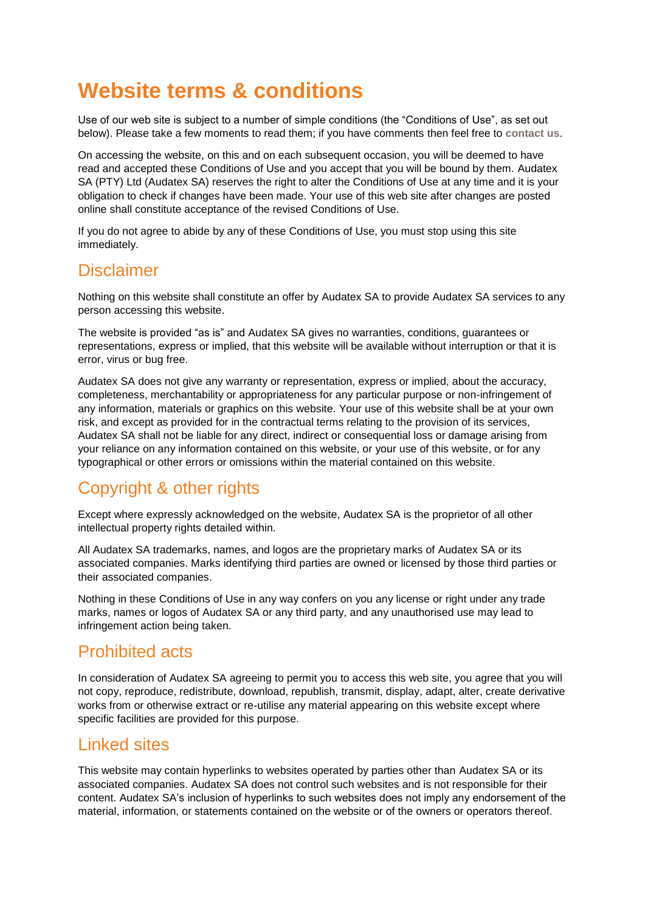# **Website terms & conditions**

Use of our web site is subject to a number of simple conditions (the "Conditions of Use", as set out below). Please take a few moments to read them; if you have comments then feel free to **[contact us](mailto:info@audatex.co.za)**.

On accessing the website, on this and on each subsequent occasion, you will be deemed to have read and accepted these Conditions of Use and you accept that you will be bound by them. Audatex SA (PTY) Ltd (Audatex SA) reserves the right to alter the Conditions of Use at any time and it is your obligation to check if changes have been made. Your use of this web site after changes are posted online shall constitute acceptance of the revised Conditions of Use.

If you do not agree to abide by any of these Conditions of Use, you must stop using this site immediately.

#### **Disclaimer**

Nothing on this website shall constitute an offer by Audatex SA to provide Audatex SA services to any person accessing this website.

The website is provided "as is" and Audatex SA gives no warranties, conditions, guarantees or representations, express or implied, that this website will be available without interruption or that it is error, virus or bug free.

Audatex SA does not give any warranty or representation, express or implied, about the accuracy, completeness, merchantability or appropriateness for any particular purpose or non-infringement of any information, materials or graphics on this website. Your use of this website shall be at your own risk, and except as provided for in the contractual terms relating to the provision of its services, Audatex SA shall not be liable for any direct, indirect or consequential loss or damage arising from your reliance on any information contained on this website, or your use of this website, or for any typographical or other errors or omissions within the material contained on this website.

# Copyright & other rights

Except where expressly acknowledged on the website, Audatex SA is the proprietor of all other intellectual property rights detailed within.

All Audatex SA trademarks, names, and logos are the proprietary marks of Audatex SA or its associated companies. Marks identifying third parties are owned or licensed by those third parties or their associated companies.

Nothing in these Conditions of Use in any way confers on you any license or right under any trade marks, names or logos of Audatex SA or any third party, and any unauthorised use may lead to infringement action being taken.

## Prohibited acts

In consideration of Audatex SA agreeing to permit you to access this web site, you agree that you will not copy, reproduce, redistribute, download, republish, transmit, display, adapt, alter, create derivative works from or otherwise extract or re-utilise any material appearing on this website except where specific facilities are provided for this purpose.

### Linked sites

This website may contain hyperlinks to websites operated by parties other than Audatex SA or its associated companies. Audatex SA does not control such websites and is not responsible for their content. Audatex SA's inclusion of hyperlinks to such websites does not imply any endorsement of the material, information, or statements contained on the website or of the owners or operators thereof.